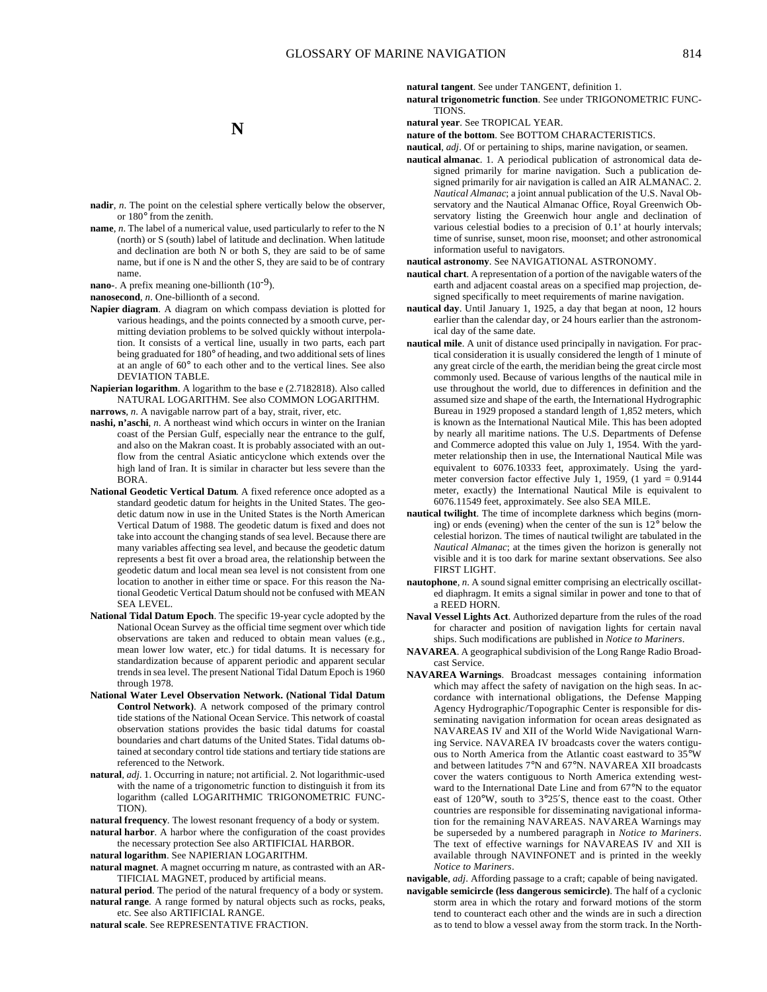**natural tangent**. See under TANGENT, definition 1.

**natural trigonometric function**. See under TRIGONOMETRIC FUNC-TIONS.

## **natural year**. See TROPICAL YEAR.

**nature of the bottom**. See BOTTOM CHARACTERISTICS.

**nautical**, *adj*. Of or pertaining to ships, marine navigation, or seamen.

- **nautical almanac**. 1. A periodical publication of astronomical data designed primarily for marine navigation. Such a publication designed primarily for air navigation is called an AIR ALMANAC. 2. *Nautical Almanac*; a joint annual publication of the U.S. Naval Observatory and the Nautical Almanac Office, Royal Greenwich Observatory listing the Greenwich hour angle and declination of various celestial bodies to a precision of 0.1' at hourly intervals; time of sunrise, sunset, moon rise, moonset; and other astronomical information useful to navigators.
- **nautical astronomy**. See NAVIGATIONAL ASTRONOMY.
- **nautical chart**. A representation of a portion of the navigable waters of the earth and adjacent coastal areas on a specified map projection, designed specifically to meet requirements of marine navigation.
- **nautical day**. Until January 1, 1925, a day that began at noon, 12 hours earlier than the calendar day, or 24 hours earlier than the astronomical day of the same date.
- **nautical mile**. A unit of distance used principally in navigation. For practical consideration it is usually considered the length of 1 minute of any great circle of the earth, the meridian being the great circle most commonly used. Because of various lengths of the nautical mile in use throughout the world, due to differences in definition and the assumed size and shape of the earth, the International Hydrographic Bureau in 1929 proposed a standard length of 1,852 meters, which is known as the International Nautical Mile. This has been adopted by nearly all maritime nations. The U.S. Departments of Defense and Commerce adopted this value on July 1, 1954. With the yardmeter relationship then in use, the International Nautical Mile was equivalent to 6076.10333 feet, approximately. Using the yardmeter conversion factor effective July 1, 1959, (1 yard = 0.9144 meter, exactly) the International Nautical Mile is equivalent to 6076.11549 feet, approximately. See also SEA MILE.
- **nautical twilight**. The time of incomplete darkness which begins (morning) or ends (evening) when the center of the sun is 12° below the celestial horizon. The times of nautical twilight are tabulated in the *Nautical Almanac*; at the times given the horizon is generally not visible and it is too dark for marine sextant observations. See also FIRST LIGHT.
- **nautophone**, *n*. A sound signal emitter comprising an electrically oscillated diaphragm. It emits a signal similar in power and tone to that of a REED HORN.
- **Naval Vessel Lights Act**. Authorized departure from the rules of the road for character and position of navigation lights for certain naval ships. Such modifications are published in *Notice to Mariners*.
- **NAVAREA**. A geographical subdivision of the Long Range Radio Broadcast Service.
- **NAVAREA Warnings**. Broadcast messages containing information which may affect the safety of navigation on the high seas. In accordance with international obligations, the Defense Mapping Agency Hydrographic/Topographic Center is responsible for disseminating navigation information for ocean areas designated as NAVAREAS IV and XII of the World Wide Navigational Warning Service. NAVAREA IV broadcasts cover the waters contiguous to North America from the Atlantic coast eastward to 35°W and between latitudes 7°N and 67°N. NAVAREA XII broadcasts cover the waters contiguous to North America extending westward to the International Date Line and from 67°N to the equator east of 120°W, south to 3°25′S, thence east to the coast. Other countries are responsible for disseminating navigational information for the remaining NAVAREAS. NAVAREA Warnings may be superseded by a numbered paragraph in *Notice to Mariners*. The text of effective warnings for NAVAREAS IV and XII is available through NAVINFONET and is printed in the weekly *Notice to Mariners*.

**navigable**, *adj*. Affording passage to a craft; capable of being navigated.

**navigable semicircle (less dangerous semicircle)**. The half of a cyclonic storm area in which the rotary and forward motions of the storm tend to counteract each other and the winds are in such a direction as to tend to blow a vessel away from the storm track. In the North-

**N**

- **nadir**, *n*. The point on the celestial sphere vertically below the observer, or 180° from the zenith.
- **name**, *n*. The label of a numerical value, used particularly to refer to the N (north) or S (south) label of latitude and declination. When latitude and declination are both N or both S, they are said to be of same name, but if one is N and the other S, they are said to be of contrary name.
- **nano-**. A prefix meaning one-billionth (10<sup>-9</sup>).

**nanosecond**, *n*. One-billionth of a second.

- **Napier diagram**. A diagram on which compass deviation is plotted for various headings, and the points connected by a smooth curve, permitting deviation problems to be solved quickly without interpolation. It consists of a vertical line, usually in two parts, each part being graduated for 180° of heading, and two additional sets of lines at an angle of 60° to each other and to the vertical lines. See also DEVIATION TABLE.
- **Napierian logarithm**. A logarithm to the base e (2.7182818). Also called NATURAL LOGARITHM. See also COMMON LOGARITHM.

**narrows**, *n*. A navigable narrow part of a bay, strait, river, etc.

- **nashi, n'aschi**, *n*. A northeast wind which occurs in winter on the Iranian coast of the Persian Gulf, especially near the entrance to the gulf, and also on the Makran coast. It is probably associated with an outflow from the central Asiatic anticyclone which extends over the high land of Iran. It is similar in character but less severe than the BORA.
- **National Geodetic Vertical Datum**. A fixed reference once adopted as a standard geodetic datum for heights in the United States. The geodetic datum now in use in the United States is the North American Vertical Datum of 1988. The geodetic datum is fixed and does not take into account the changing stands of sea level. Because there are many variables affecting sea level, and because the geodetic datum represents a best fit over a broad area, the relationship between the geodetic datum and local mean sea level is not consistent from one location to another in either time or space. For this reason the National Geodetic Vertical Datum should not be confused with MEAN SEA LEVEL.
- **National Tidal Datum Epoch**. The specific 19-year cycle adopted by the National Ocean Survey as the official time segment over which tide observations are taken and reduced to obtain mean values (e.g., mean lower low water, etc.) for tidal datums. It is necessary for standardization because of apparent periodic and apparent secular trends in sea level. The present National Tidal Datum Epoch is 1960 through 1978.
- **National Water Level Observation Network. (National Tidal Datum Control Network)**. A network composed of the primary control tide stations of the National Ocean Service. This network of coastal observation stations provides the basic tidal datums for coastal boundaries and chart datums of the United States. Tidal datums obtained at secondary control tide stations and tertiary tide stations are referenced to the Network.
- **natural**, *adj*. 1. Occurring in nature; not artificial. 2. Not logarithmic-used with the name of a trigonometric function to distinguish it from its logarithm (called LOGARITHMIC TRIGONOMETRIC FUNC-TION).

**natural frequency**. The lowest resonant frequency of a body or system. **natural harbor**. A harbor where the configuration of the coast provides

the necessary protection See also ARTIFICIAL HARBOR.

**natural logarithm**. See NAPIERIAN LOGARITHM.

- **natural magnet**. A magnet occurring m nature, as contrasted with an AR-TIFICIAL MAGNET, produced by artificial means.
- **natural period**. The period of the natural frequency of a body or system. **natural range**. A range formed by natural objects such as rocks, peaks, etc. See also ARTIFICIAL RANGE.

**natural scale**. See REPRESENTATIVE FRACTION.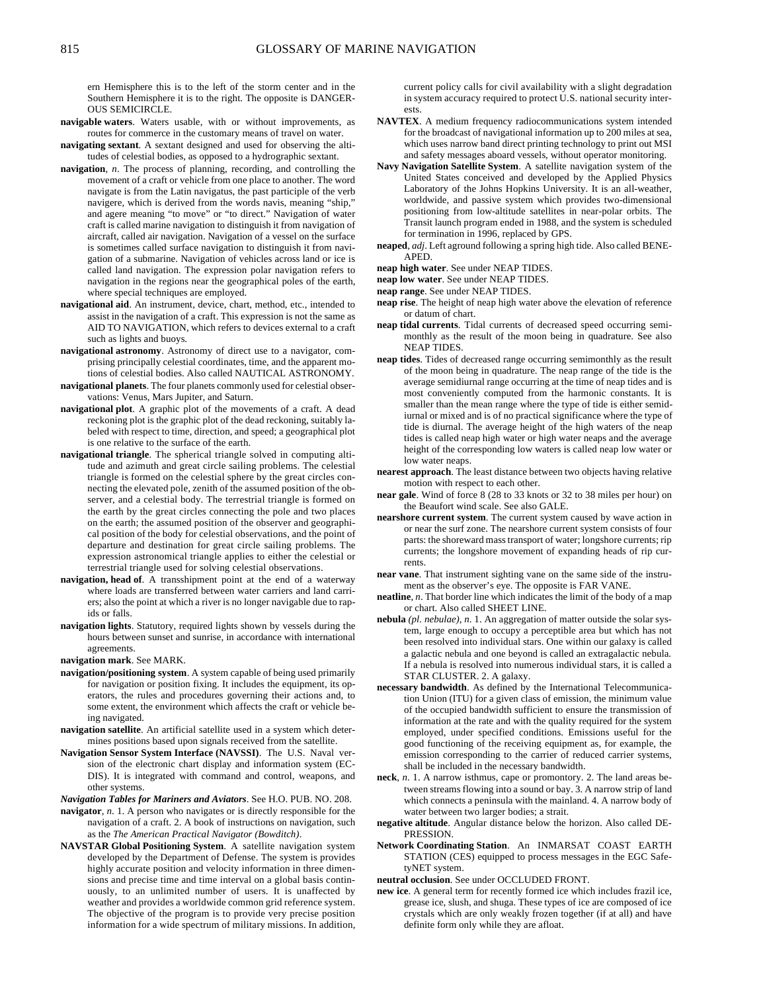ern Hemisphere this is to the left of the storm center and in the Southern Hemisphere it is to the right. The opposite is DANGER-OUS SEMICIRCLE.

- **navigable waters**. Waters usable, with or without improvements, as routes for commerce in the customary means of travel on water.
- **navigating sextant**. A sextant designed and used for observing the altitudes of celestial bodies, as opposed to a hydrographic sextant.
- **navigation**, *n*. The process of planning, recording, and controlling the movement of a craft or vehicle from one place to another. The word navigate is from the Latin navigatus, the past participle of the verb navigere, which is derived from the words navis, meaning "ship," and agere meaning "to move" or "to direct." Navigation of water craft is called marine navigation to distinguish it from navigation of aircraft, called air navigation. Navigation of a vessel on the surface is sometimes called surface navigation to distinguish it from navigation of a submarine. Navigation of vehicles across land or ice is called land navigation. The expression polar navigation refers to navigation in the regions near the geographical poles of the earth, where special techniques are employed.
- **navigational aid**. An instrument, device, chart, method, etc., intended to assist in the navigation of a craft. This expression is not the same as AID TO NAVIGATION, which refers to devices external to a craft such as lights and buoys.
- **navigational astronomy**. Astronomy of direct use to a navigator, comprising principally celestial coordinates, time, and the apparent motions of celestial bodies. Also called NAUTICAL ASTRONOMY.
- **navigational planets**. The four planets commonly used for celestial observations: Venus, Mars Jupiter, and Saturn.
- **navigational plot**. A graphic plot of the movements of a craft. A dead reckoning plot is the graphic plot of the dead reckoning, suitably labeled with respect to time, direction, and speed; a geographical plot is one relative to the surface of the earth.
- **navigational triangle**. The spherical triangle solved in computing altitude and azimuth and great circle sailing problems. The celestial triangle is formed on the celestial sphere by the great circles connecting the elevated pole, zenith of the assumed position of the observer, and a celestial body. The terrestrial triangle is formed on the earth by the great circles connecting the pole and two places on the earth; the assumed position of the observer and geographical position of the body for celestial observations, and the point of departure and destination for great circle sailing problems. The expression astronomical triangle applies to either the celestial or terrestrial triangle used for solving celestial observations.
- **navigation, head of**. A transshipment point at the end of a waterway where loads are transferred between water carriers and land carriers; also the point at which a river is no longer navigable due to rapids or falls.
- **navigation lights**. Statutory, required lights shown by vessels during the hours between sunset and sunrise, in accordance with international agreements.

## **navigation mark**. See MARK.

- **navigation/positioning system**. A system capable of being used primarily for navigation or position fixing. It includes the equipment, its operators, the rules and procedures governing their actions and, to some extent, the environment which affects the craft or vehicle being navigated.
- **navigation satellite**. An artificial satellite used in a system which determines positions based upon signals received from the satellite.
- **Navigation Sensor System Interface (NAVSSI)**. The U.S. Naval version of the electronic chart display and information system (EC-DIS). It is integrated with command and control, weapons, and other systems.
- *Navigation Tables for Mariners and Aviators*. See H.O. PUB. NO. 208.
- **navigator**, *n*. 1. A person who navigates or is directly responsible for the navigation of a craft. 2. A book of instructions on navigation, such as the *The American Practical Navigator (Bowditch)*.
- **NAVSTAR Global Positioning System**. A satellite navigation system developed by the Department of Defense. The system is provides highly accurate position and velocity information in three dimensions and precise time and time interval on a global basis continuously, to an unlimited number of users. It is unaffected by weather and provides a worldwide common grid reference system. The objective of the program is to provide very precise position information for a wide spectrum of military missions. In addition,

current policy calls for civil availability with a slight degradation in system accuracy required to protect U.S. national security interests.

- **NAVTEX**. A medium frequency radiocommunications system intended for the broadcast of navigational information up to 200 miles at sea, which uses narrow band direct printing technology to print out MSI and safety messages aboard vessels, without operator monitoring.
- **Navy Navigation Satellite System**. A satellite navigation system of the United States conceived and developed by the Applied Physics Laboratory of the Johns Hopkins University. It is an all-weather, worldwide, and passive system which provides two-dimensional positioning from low-altitude satellites in near-polar orbits. The Transit launch program ended in 1988, and the system is scheduled for termination in 1996, replaced by GPS.
- **neaped**, *adj*. Left aground following a spring high tide. Also called BENE-APED.
- **neap high water**. See under NEAP TIDES.
- **neap low water**. See under NEAP TIDES.
- **neap range**. See under NEAP TIDES.
- **neap rise**. The height of neap high water above the elevation of reference or datum of chart.
- **neap tidal currents**. Tidal currents of decreased speed occurring semimonthly as the result of the moon being in quadrature. See also NEAP TIDES.
- **neap tides**. Tides of decreased range occurring semimonthly as the result of the moon being in quadrature. The neap range of the tide is the average semidiurnal range occurring at the time of neap tides and is most conveniently computed from the harmonic constants. It is smaller than the mean range where the type of tide is either semidiurnal or mixed and is of no practical significance where the type of tide is diurnal. The average height of the high waters of the neap tides is called neap high water or high water neaps and the average height of the corresponding low waters is called neap low water or low water neaps.
- **nearest approach**. The least distance between two objects having relative motion with respect to each other.
- **near gale**. Wind of force 8 (28 to 33 knots or 32 to 38 miles per hour) on the Beaufort wind scale. See also GALE.
- **nearshore current system**. The current system caused by wave action in or near the surf zone. The nearshore current system consists of four parts: the shoreward mass transport of water; longshore currents; rip currents; the longshore movement of expanding heads of rip currents.
- **near vane**. That instrument sighting vane on the same side of the instrument as the observer's eye. The opposite is FAR VANE.
- **neatline**, *n*. That border line which indicates the limit of the body of a map or chart. Also called SHEET LINE.
- **nebula** *(pl. nebulae), n*. 1. An aggregation of matter outside the solar system, large enough to occupy a perceptible area but which has not been resolved into individual stars. One within our galaxy is called a galactic nebula and one beyond is called an extragalactic nebula. If a nebula is resolved into numerous individual stars, it is called a STAR CLUSTER. 2. A galaxy.
- **necessary bandwidth**. As defined by the International Telecommunication Union (ITU) for a given class of emission, the minimum value of the occupied bandwidth sufficient to ensure the transmission of information at the rate and with the quality required for the system employed, under specified conditions. Emissions useful for the good functioning of the receiving equipment as, for example, the emission corresponding to the carrier of reduced carrier systems, shall be included in the necessary bandwidth.
- **neck**, *n*. 1. A narrow isthmus, cape or promontory. 2. The land areas between streams flowing into a sound or bay. 3. A narrow strip of land which connects a peninsula with the mainland. 4. A narrow body of water between two larger bodies; a strait.
- **negative altitude**. Angular distance below the horizon. Also called DE-PRESSION.
- **Network Coordinating Station**. An INMARSAT COAST EARTH STATION (CES) equipped to process messages in the EGC SafetyNET system.

**neutral occlusion**. See under OCCLUDED FRONT.

**new ice**. A general term for recently formed ice which includes frazil ice, grease ice, slush, and shuga. These types of ice are composed of ice crystals which are only weakly frozen together (if at all) and have definite form only while they are afloat.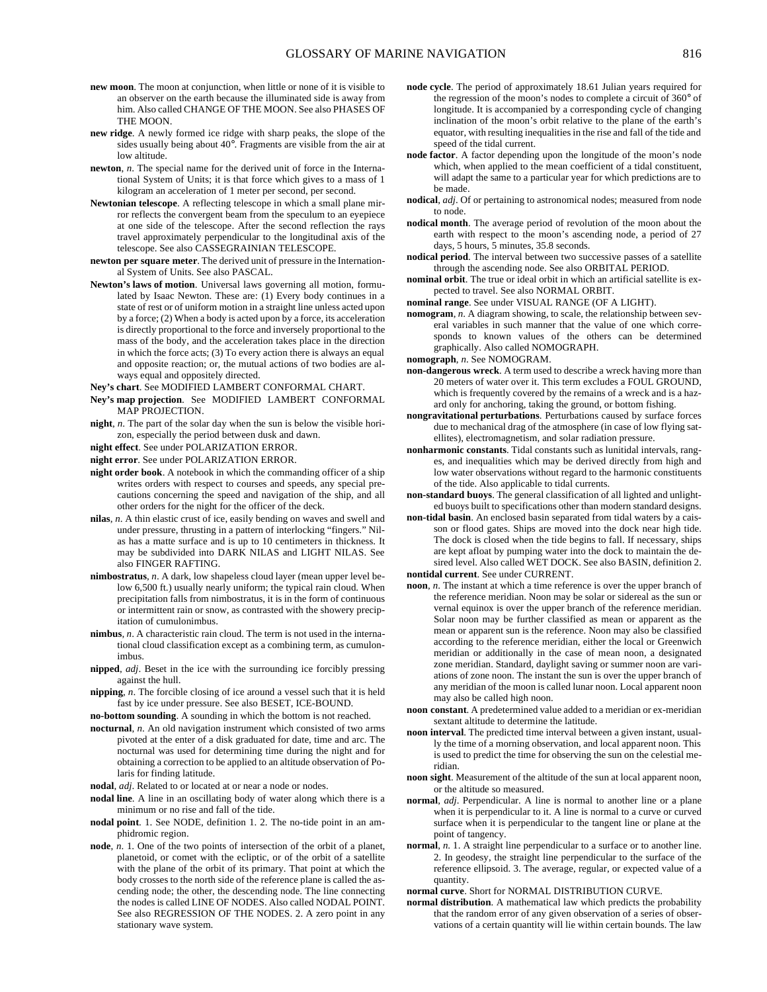- **new moon**. The moon at conjunction, when little or none of it is visible to an observer on the earth because the illuminated side is away from him. Also called CHANGE OF THE MOON. See also PHASES OF THE MOON.
- **new ridge**. A newly formed ice ridge with sharp peaks, the slope of the sides usually being about 40°. Fragments are visible from the air at low altitude.
- **newton**, *n*. The special name for the derived unit of force in the International System of Units; it is that force which gives to a mass of 1 kilogram an acceleration of 1 meter per second, per second.
- **Newtonian telescope**. A reflecting telescope in which a small plane mirror reflects the convergent beam from the speculum to an eyepiece at one side of the telescope. After the second reflection the rays travel approximately perpendicular to the longitudinal axis of the telescope. See also CASSEGRAINIAN TELESCOPE.
- **newton per square meter**. The derived unit of pressure in the International System of Units. See also PASCAL.
- **Newton's laws of motion**. Universal laws governing all motion, formulated by Isaac Newton. These are: (1) Every body continues in a state of rest or of uniform motion in a straight line unless acted upon by a force; (2) When a body is acted upon by a force, its acceleration is directly proportional to the force and inversely proportional to the mass of the body, and the acceleration takes place in the direction in which the force acts; (3) To every action there is always an equal and opposite reaction; or, the mutual actions of two bodies are always equal and oppositely directed.
- **Ney's chart**. See MODIFIED LAMBERT CONFORMAL CHART.
- **Ney's map projection**. See MODIFIED LAMBERT CONFORMAL MAP PROJECTION.
- **night**, *n*. The part of the solar day when the sun is below the visible horizon, especially the period between dusk and dawn.
- **night effect**. See under POLARIZATION ERROR.
- **night error**. See under POLARIZATION ERROR.
- **night order book**. A notebook in which the commanding officer of a ship writes orders with respect to courses and speeds, any special precautions concerning the speed and navigation of the ship, and all other orders for the night for the officer of the deck.
- **nilas**, *n*. A thin elastic crust of ice, easily bending on waves and swell and under pressure, thrusting in a pattern of interlocking "fingers." Nilas has a matte surface and is up to 10 centimeters in thickness. It may be subdivided into DARK NILAS and LIGHT NILAS. See also FINGER RAFTING.
- **nimbostratus**, *n*. A dark, low shapeless cloud layer (mean upper level below 6,500 ft.) usually nearly uniform; the typical rain cloud. When precipitation falls from nimbostratus, it is in the form of continuous or intermittent rain or snow, as contrasted with the showery precipitation of cumulonimbus.
- **nimbus**, *n*. A characteristic rain cloud. The term is not used in the international cloud classification except as a combining term, as cumulonimbus.
- **nipped**, *adj*. Beset in the ice with the surrounding ice forcibly pressing against the hull.
- **nipping**, *n*. The forcible closing of ice around a vessel such that it is held fast by ice under pressure. See also BESET, ICE-BOUND.
- **no-bottom sounding**. A sounding in which the bottom is not reached.
- **nocturnal**, *n*. An old navigation instrument which consisted of two arms pivoted at the enter of a disk graduated for date, time and arc. The nocturnal was used for determining time during the night and for obtaining a correction to be applied to an altitude observation of Polaris for finding latitude.
- **nodal**, *adj*. Related to or located at or near a node or nodes.
- **nodal line**. A line in an oscillating body of water along which there is a minimum or no rise and fall of the tide.
- **nodal point**. 1. See NODE, definition 1. 2. The no-tide point in an amphidromic region.
- **node**, *n*. 1. One of the two points of intersection of the orbit of a planet, planetoid, or comet with the ecliptic, or of the orbit of a satellite with the plane of the orbit of its primary. That point at which the body crosses to the north side of the reference plane is called the ascending node; the other, the descending node. The line connecting the nodes is called LINE OF NODES. Also called NODAL POINT. See also REGRESSION OF THE NODES. 2. A zero point in any stationary wave system.
- **node cycle**. The period of approximately 18.61 Julian years required for the regression of the moon's nodes to complete a circuit of 360° of longitude. It is accompanied by a corresponding cycle of changing inclination of the moon's orbit relative to the plane of the earth's equator, with resulting inequalities in the rise and fall of the tide and speed of the tidal current.
- **node factor**. A factor depending upon the longitude of the moon's node which, when applied to the mean coefficient of a tidal constituent, will adapt the same to a particular year for which predictions are to be made.
- **nodical**, *adj*. Of or pertaining to astronomical nodes; measured from node to node.
- **nodical month**. The average period of revolution of the moon about the earth with respect to the moon's ascending node, a period of 27 days, 5 hours, 5 minutes, 35.8 seconds.
- **nodical period**. The interval between two successive passes of a satellite through the ascending node. See also ORBITAL PERIOD.
- **nominal orbit**. The true or ideal orbit in which an artificial satellite is expected to travel. See also NORMAL ORBIT.
- **nominal range**. See under VISUAL RANGE (OF A LIGHT).
- **nomogram**, *n*. A diagram showing, to scale, the relationship between several variables in such manner that the value of one which corresponds to known values of the others can be determined graphically. Also called NOMOGRAPH.
- **nomograph**, *n*. See NOMOGRAM.
- **non-dangerous wreck**. A term used to describe a wreck having more than 20 meters of water over it. This term excludes a FOUL GROUND, which is frequently covered by the remains of a wreck and is a hazard only for anchoring, taking the ground, or bottom fishing.
- **nongravitational perturbations**. Perturbations caused by surface forces due to mechanical drag of the atmosphere (in case of low flying satellites), electromagnetism, and solar radiation pressure.
- **nonharmonic constants**. Tidal constants such as lunitidal intervals, ranges, and inequalities which may be derived directly from high and low water observations without regard to the harmonic constituents of the tide. Also applicable to tidal currents.
- **non-standard buoys**. The general classification of all lighted and unlighted buoys built to specifications other than modern standard designs.
- **non-tidal basin**. An enclosed basin separated from tidal waters by a caisson or flood gates. Ships are moved into the dock near high tide. The dock is closed when the tide begins to fall. If necessary, ships are kept afloat by pumping water into the dock to maintain the desired level. Also called WET DOCK. See also BASIN, definition 2.

## **nontidal current**. See under CURRENT.

- **noon**, *n*. The instant at which a time reference is over the upper branch of the reference meridian. Noon may be solar or sidereal as the sun or vernal equinox is over the upper branch of the reference meridian. Solar noon may be further classified as mean or apparent as the mean or apparent sun is the reference. Noon may also be classified according to the reference meridian, either the local or Greenwich meridian or additionally in the case of mean noon, a designated zone meridian. Standard, daylight saving or summer noon are variations of zone noon. The instant the sun is over the upper branch of any meridian of the moon is called lunar noon. Local apparent noon may also be called high noon.
- **noon constant**. A predetermined value added to a meridian or ex-meridian sextant altitude to determine the latitude.
- **noon interval**. The predicted time interval between a given instant, usually the time of a morning observation, and local apparent noon. This is used to predict the time for observing the sun on the celestial meridian.
- **noon sight**. Measurement of the altitude of the sun at local apparent noon, or the altitude so measured.
- **normal**, *adj*. Perpendicular. A line is normal to another line or a plane when it is perpendicular to it. A line is normal to a curve or curved surface when it is perpendicular to the tangent line or plane at the point of tangency.
- **normal**, *n*. 1. A straight line perpendicular to a surface or to another line. 2. In geodesy, the straight line perpendicular to the surface of the reference ellipsoid. 3. The average, regular, or expected value of a quantity.
- **normal curve**. Short for NORMAL DISTRIBUTION CURVE.
- **normal distribution**. A mathematical law which predicts the probability that the random error of any given observation of a series of observations of a certain quantity will lie within certain bounds. The law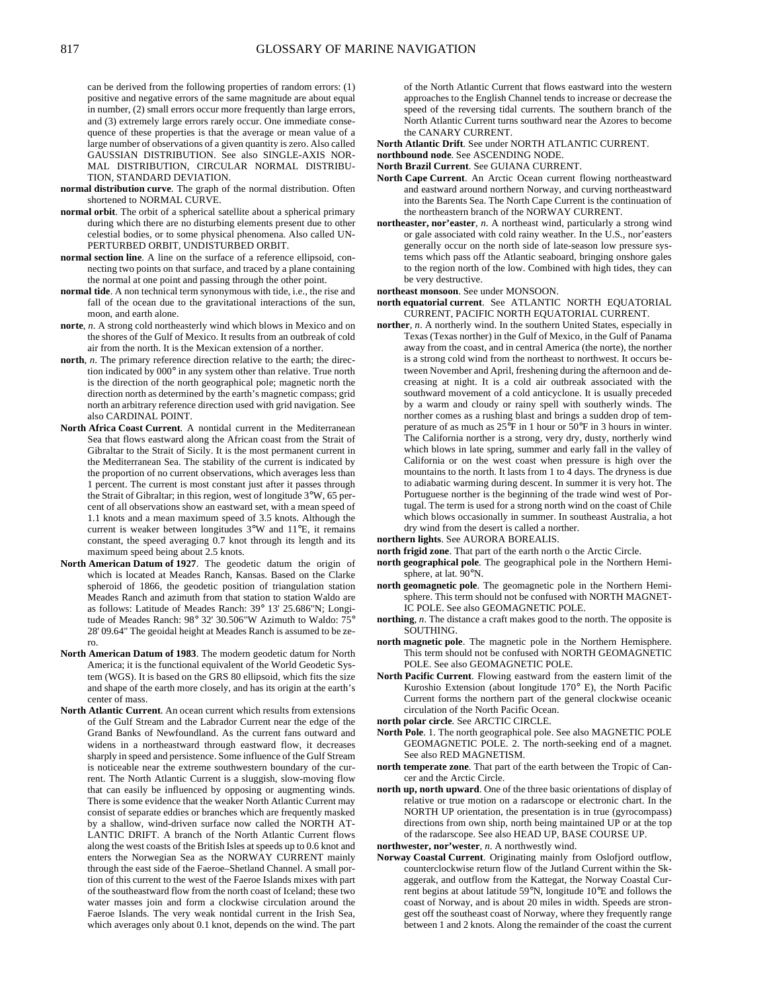can be derived from the following properties of random errors: (1) positive and negative errors of the same magnitude are about equal in number, (2) small errors occur more frequently than large errors, and (3) extremely large errors rarely occur. One immediate consequence of these properties is that the average or mean value of a large number of observations of a given quantity is zero. Also called GAUSSIAN DISTRIBUTION. See also SINGLE-AXIS NOR-MAL DISTRIBUTION, CIRCULAR NORMAL DISTRIBU-TION, STANDARD DEVIATION.

- **normal distribution curve**. The graph of the normal distribution. Often shortened to NORMAL CURVE.
- **normal orbit**. The orbit of a spherical satellite about a spherical primary during which there are no disturbing elements present due to other celestial bodies, or to some physical phenomena. Also called UN-PERTURBED ORBIT, UNDISTURBED ORBIT.
- **normal section line**. A line on the surface of a reference ellipsoid, connecting two points on that surface, and traced by a plane containing the normal at one point and passing through the other point.
- **normal tide**. A non technical term synonymous with tide, i.e., the rise and fall of the ocean due to the gravitational interactions of the sun, moon, and earth alone.
- **norte**, *n*. A strong cold northeasterly wind which blows in Mexico and on the shores of the Gulf of Mexico. It results from an outbreak of cold air from the north. It is the Mexican extension of a norther.
- **north**, *n*. The primary reference direction relative to the earth; the direction indicated by 000° in any system other than relative. True north is the direction of the north geographical pole; magnetic north the direction north as determined by the earth's magnetic compass; grid north an arbitrary reference direction used with grid navigation. See also CARDINAL POINT.
- **North Africa Coast Current**. A nontidal current in the Mediterranean Sea that flows eastward along the African coast from the Strait of Gibraltar to the Strait of Sicily. It is the most permanent current in the Mediterranean Sea. The stability of the current is indicated by the proportion of no current observations, which averages less than 1 percent. The current is most constant just after it passes through the Strait of Gibraltar; in this region, west of longitude 3°W, 65 percent of all observations show an eastward set, with a mean speed of 1.1 knots and a mean maximum speed of 3.5 knots. Although the current is weaker between longitudes 3°W and 11°E, it remains constant, the speed averaging  $0.7$  knot through its length and its maximum speed being about 2.5 knots.
- **North American Datum of 1927**. The geodetic datum the origin of which is located at Meades Ranch, Kansas. Based on the Clarke spheroid of 1866, the geodetic position of triangulation station Meades Ranch and azimuth from that station to station Waldo are as follows: Latitude of Meades Ranch: 39° 13' 25.686"N; Longitude of Meades Ranch: 98° 32' 30.506"W Azimuth to Waldo: 75° 28' 09.64" The geoidal height at Meades Ranch is assumed to be zero.
- **North American Datum of 1983**. The modern geodetic datum for North America; it is the functional equivalent of the World Geodetic System (WGS). It is based on the GRS 80 ellipsoid, which fits the size and shape of the earth more closely, and has its origin at the earth's center of mass.
- **North Atlantic Current**. An ocean current which results from extensions of the Gulf Stream and the Labrador Current near the edge of the Grand Banks of Newfoundland. As the current fans outward and widens in a northeastward through eastward flow, it decreases sharply in speed and persistence. Some influence of the Gulf Stream is noticeable near the extreme southwestern boundary of the current. The North Atlantic Current is a sluggish, slow-moving flow that can easily be influenced by opposing or augmenting winds. There is some evidence that the weaker North Atlantic Current may consist of separate eddies or branches which are frequently masked by a shallow, wind-driven surface now called the NORTH AT-LANTIC DRIFT. A branch of the North Atlantic Current flows along the west coasts of the British Isles at speeds up to 0.6 knot and enters the Norwegian Sea as the NORWAY CURRENT mainly through the east side of the Faeroe–Shetland Channel. A small portion of this current to the west of the Faeroe Islands mixes with part of the southeastward flow from the north coast of Iceland; these two water masses join and form a clockwise circulation around the Faeroe Islands. The very weak nontidal current in the Irish Sea, which averages only about 0.1 knot, depends on the wind. The part

of the North Atlantic Current that flows eastward into the western approaches to the English Channel tends to increase or decrease the speed of the reversing tidal currents. The southern branch of the North Atlantic Current turns southward near the Azores to become the CANARY CURRENT.

**North Atlantic Drift**. See under NORTH ATLANTIC CURRENT. **northbound node**. See ASCENDING NODE.

**North Brazil Current**. See GUIANA CURRENT.

- **North Cape Current**. An Arctic Ocean current flowing northeastward and eastward around northern Norway, and curving northeastward into the Barents Sea. The North Cape Current is the continuation of the northeastern branch of the NORWAY CURRENT.
- **northeaster, nor'easter**, *n*. A northeast wind, particularly a strong wind or gale associated with cold rainy weather. In the U.S., nor'easters generally occur on the north side of late-season low pressure systems which pass off the Atlantic seaboard, bringing onshore gales to the region north of the low. Combined with high tides, they can be very destructive.

**northeast monsoon**. See under MONSOON.

- **north equatorial current**. See ATLANTIC NORTH EQUATORIAL CURRENT, PACIFIC NORTH EQUATORIAL CURRENT.
- **norther**, *n*. A northerly wind. In the southern United States, especially in Texas (Texas norther) in the Gulf of Mexico, in the Gulf of Panama away from the coast, and in central America (the norte), the norther is a strong cold wind from the northeast to northwest. It occurs between November and April, freshening during the afternoon and decreasing at night. It is a cold air outbreak associated with the southward movement of a cold anticyclone. It is usually preceded by a warm and cloudy or rainy spell with southerly winds. The norther comes as a rushing blast and brings a sudden drop of temperature of as much as 25°F in 1 hour or 50°F in 3 hours in winter. The California norther is a strong, very dry, dusty, northerly wind which blows in late spring, summer and early fall in the valley of California or on the west coast when pressure is high over the mountains to the north. It lasts from 1 to 4 days. The dryness is due to adiabatic warming during descent. In summer it is very hot. The Portuguese norther is the beginning of the trade wind west of Portugal. The term is used for a strong north wind on the coast of Chile which blows occasionally in summer. In southeast Australia, a hot dry wind from the desert is called a norther.

**northern lights**. See AURORA BOREALIS.

- **north frigid zone**. That part of the earth north o the Arctic Circle.
- **north geographical pole**. The geographical pole in the Northern Hemisphere, at lat. 90°N.
- **north geomagnetic pole**. The geomagnetic pole in the Northern Hemisphere. This term should not be confused with NORTH MAGNET-IC POLE. See also GEOMAGNETIC POLE.
- **northing**, *n*. The distance a craft makes good to the north. The opposite is SOUTHING.
- **north magnetic pole**. The magnetic pole in the Northern Hemisphere. This term should not be confused with NORTH GEOMAGNETIC POLE. See also GEOMAGNETIC POLE.
- **North Pacific Current**. Flowing eastward from the eastern limit of the Kuroshio Extension (about longitude 170° E), the North Pacific Current forms the northern part of the general clockwise oceanic circulation of the North Pacific Ocean.
- **north polar circle**. See ARCTIC CIRCLE.
- **North Pole**. 1. The north geographical pole. See also MAGNETIC POLE GEOMAGNETIC POLE. 2. The north-seeking end of a magnet. See also RED MAGNETISM.
- **north temperate zone**. That part of the earth between the Tropic of Cancer and the Arctic Circle.
- **north up, north upward**. One of the three basic orientations of display of relative or true motion on a radarscope or electronic chart. In the NORTH UP orientation, the presentation is in true (gyrocompass) directions from own ship, north being maintained UP or at the top of the radarscope. See also HEAD UP, BASE COURSE UP.

**northwester, nor'wester**, *n*. A northwestly wind.

**Norway Coastal Current**. Originating mainly from Oslofjord outflow, counterclockwise return flow of the Jutland Current within the Skaggerak, and outflow from the Kattegat, the Norway Coastal Current begins at about latitude 59°N, longitude 10°E and follows the coast of Norway, and is about 20 miles in width. Speeds are strongest off the southeast coast of Norway, where they frequently range between 1 and 2 knots. Along the remainder of the coast the current